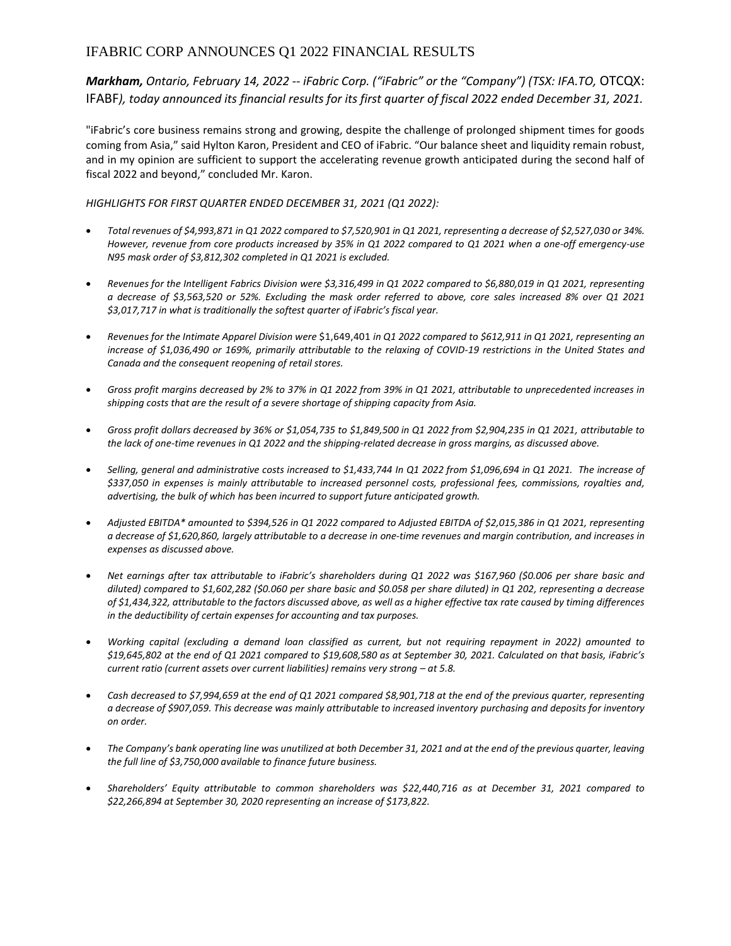# IFABRIC CORP ANNOUNCES Q1 2022 FINANCIAL RESULTS

*Markham, Ontario, February 14, 2022 -- iFabric Corp. ("iFabric" or the "Company") (TSX: IFA.TO,* OTCQX: IFABF*), today announced its financial results for its first quarter of fiscal 2022 ended December 31, 2021.*

"iFabric's core business remains strong and growing, despite the challenge of prolonged shipment times for goods coming from Asia," said Hylton Karon, President and CEO of iFabric. "Our balance sheet and liquidity remain robust, and in my opinion are sufficient to support the accelerating revenue growth anticipated during the second half of fiscal 2022 and beyond," concluded Mr. Karon.

## *HIGHLIGHTS FOR FIRST QUARTER ENDED DECEMBER 31, 2021 (Q1 2022):*

- *Total revenues of \$4,993,871 in Q1 2022 compared to \$7,520,901 in Q1 2021, representing a decrease of \$2,527,030 or 34%. However, revenue from core products increased by 35% in Q1 2022 compared to Q1 2021 when a one-off emergency-use N95 mask order of \$3,812,302 completed in Q1 2021 is excluded.*
- *Revenues for the Intelligent Fabrics Division were \$3,316,499 in Q1 2022 compared to \$6,880,019 in Q1 2021, representing a decrease of \$3,563,520 or 52%. Excluding the mask order referred to above, core sales increased 8% over Q1 2021 \$3,017,717 in what is traditionally the softest quarter of iFabric's fiscal year.*
- *Revenues for the Intimate Apparel Division were* \$1,649,401 *in Q1 2022 compared to \$612,911 in Q1 2021, representing an increase of \$1,036,490 or 169%, primarily attributable to the relaxing of COVID-19 restrictions in the United States and Canada and the consequent reopening of retail stores.*
- *Gross profit margins decreased by 2% to 37% in Q1 2022 from 39% in Q1 2021, attributable to unprecedented increases in shipping costs that are the result of a severe shortage of shipping capacity from Asia.*
- *Gross profit dollars decreased by 36% or \$1,054,735 to \$1,849,500 in Q1 2022 from \$2,904,235 in Q1 2021, attributable to the lack of one-time revenues in Q1 2022 and the shipping-related decrease in gross margins, as discussed above.*
- *Selling, general and administrative costs increased to \$1,433,744 In Q1 2022 from \$1,096,694 in Q1 2021. The increase of \$337,050 in expenses is mainly attributable to increased personnel costs, professional fees, commissions, royalties and, advertising, the bulk of which has been incurred to support future anticipated growth.*
- *Adjusted EBITDA\* amounted to \$394,526 in Q1 2022 compared to Adjusted EBITDA of \$2,015,386 in Q1 2021, representing a decrease of \$1,620,860, largely attributable to a decrease in one-time revenues and margin contribution, and increases in expenses as discussed above.*
- *Net earnings after tax attributable to iFabric's shareholders during Q1 2022 was \$167,960 (\$0.006 per share basic and diluted) compared to \$1,602,282 (\$0.060 per share basic and \$0.058 per share diluted) in Q1 202, representing a decrease of \$1,434,322, attributable to the factors discussed above, as well as a higher effective tax rate caused by timing differences in the deductibility of certain expenses for accounting and tax purposes.*
- *Working capital (excluding a demand loan classified as current, but not requiring repayment in 2022) amounted to \$19,645,802 at the end of Q1 2021 compared to \$19,608,580 as at September 30, 2021. Calculated on that basis, iFabric's current ratio (current assets over current liabilities) remains very strong – at 5.8.*
- *Cash decreased to \$7,994,659 at the end of Q1 2021 compared \$8,901,718 at the end of the previous quarter, representing a decrease of \$907,059. This decrease was mainly attributable to increased inventory purchasing and deposits for inventory on order.*
- *The Company's bank operating line was unutilized at both December 31, 2021 and at the end of the previous quarter, leaving the full line of \$3,750,000 available to finance future business.*
- *Shareholders' Equity attributable to common shareholders was \$22,440,716 as at December 31, 2021 compared to \$22,266,894 at September 30, 2020 representing an increase of \$173,822.*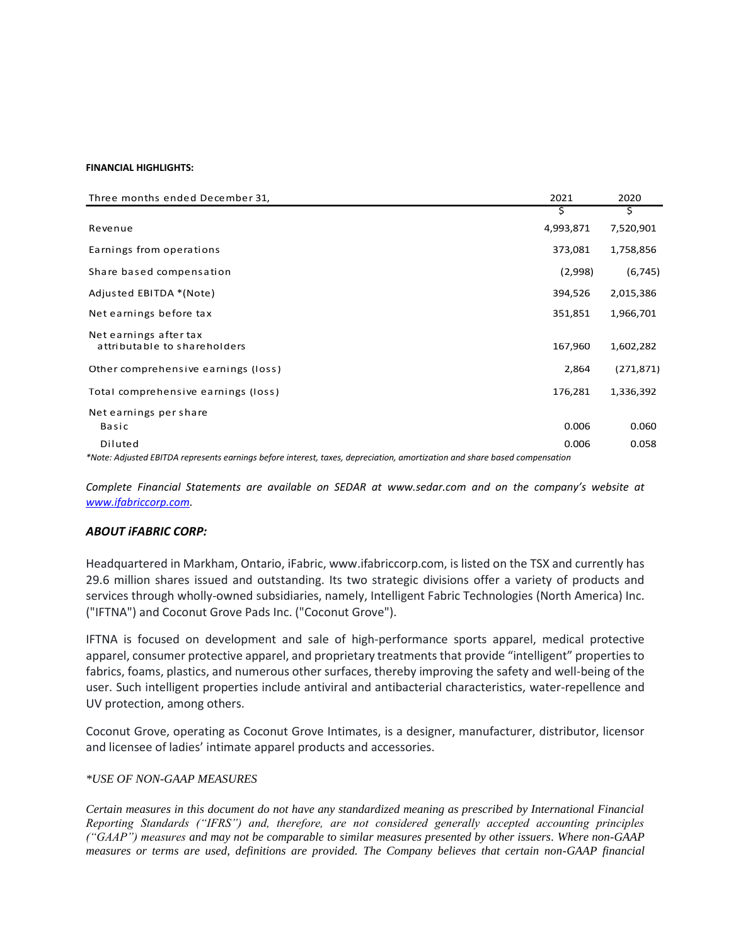#### **FINANCIAL HIGHLIGHTS:**

| Three months ended December 31,                                                                                            | 2021      | 2020       |
|----------------------------------------------------------------------------------------------------------------------------|-----------|------------|
|                                                                                                                            | s         | Ş          |
| Revenue                                                                                                                    | 4,993,871 | 7,520,901  |
| Earnings from operations                                                                                                   | 373,081   | 1,758,856  |
| Share based compensation                                                                                                   | (2,998)   | (6, 745)   |
| Adjusted EBITDA *(Note)                                                                                                    | 394,526   | 2,015,386  |
| Net earnings before tax                                                                                                    | 351,851   | 1,966,701  |
| Net earnings after tax<br>attributable to shareholders                                                                     | 167,960   | 1,602,282  |
| Other comprehensive earnings (loss)                                                                                        | 2,864     | (271, 871) |
| Total comprehensive earnings (loss)                                                                                        | 176,281   | 1,336,392  |
| Net earnings per share                                                                                                     |           |            |
| Basic                                                                                                                      | 0.006     | 0.060      |
| Diluted                                                                                                                    | 0.006     | 0.058      |
| *Note: Adjusted EBITDA represents earnings before interest, taxes, depreciation, amortization and share based compensation |           |            |

*Complete Financial Statements are available on SEDAR at [www.sedar.com](http://www.sedar.com/) and on the company's website at [www.ifabriccorp.com.](http://www.ifabriccorp.com/)*

## *ABOUT iFABRIC CORP:*

Headquartered in Markham, Ontario, iFabric, www.ifabriccorp.com, is listed on the TSX and currently has 29.6 million shares issued and outstanding. Its two strategic divisions offer a variety of products and services through wholly-owned subsidiaries, namely, Intelligent Fabric Technologies (North America) Inc. ("IFTNA") and Coconut Grove Pads Inc. ("Coconut Grove").

IFTNA is focused on development and sale of high-performance sports apparel, medical protective apparel, consumer protective apparel, and proprietary treatments that provide "intelligent" properties to fabrics, foams, plastics, and numerous other surfaces, thereby improving the safety and well-being of the user. Such intelligent properties include antiviral and antibacterial characteristics, water-repellence and UV protection, among others.

Coconut Grove, operating as Coconut Grove Intimates, is a designer, manufacturer, distributor, licensor and licensee of ladies' intimate apparel products and accessories.

## *\*USE OF NON-GAAP MEASURES*

*Certain measures in this document do not have any standardized meaning as prescribed by International Financial Reporting Standards ("IFRS") and, therefore, are not considered generally accepted accounting principles ("GAAP") measures and may not be comparable to similar measures presented by other issuers. Where non-GAAP measures or terms are used, definitions are provided. The Company believes that certain non-GAAP financial*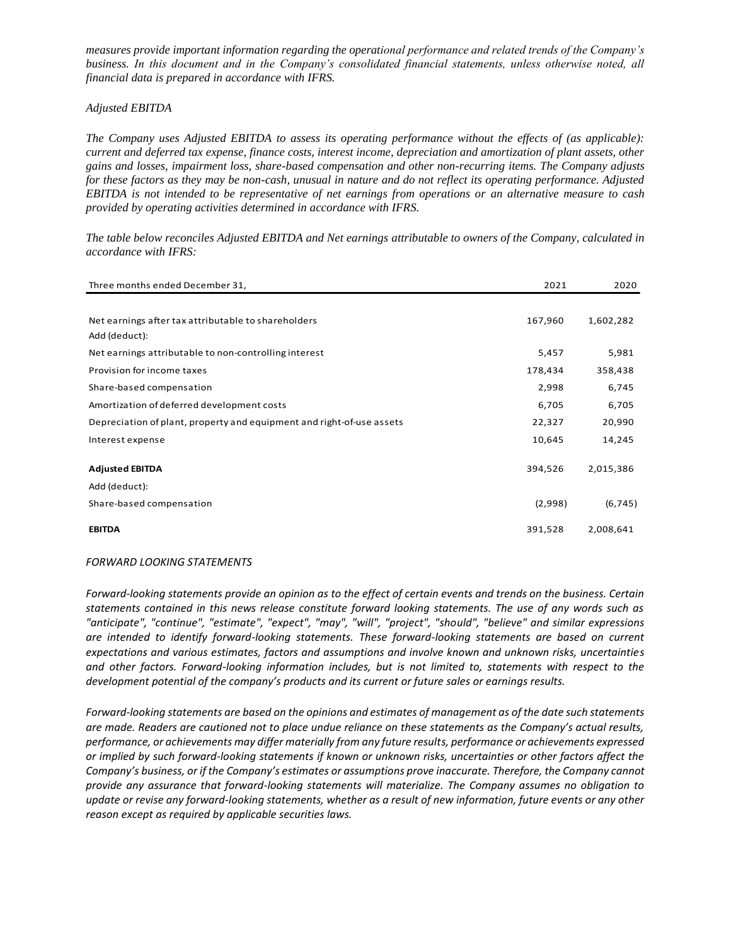*measures provide important information regarding the operational performance and related trends of the Company's business. In this document and in the Company's consolidated financial statements, unless otherwise noted, all financial data is prepared in accordance with IFRS.*

### *Adjusted EBITDA*

*The Company uses Adjusted EBITDA to assess its operating performance without the effects of (as applicable): current and deferred tax expense, finance costs, interest income, depreciation and amortization of plant assets, other gains and losses, impairment loss, share-based compensation and other non-recurring items. The Company adjusts for these factors as they may be non-cash, unusual in nature and do not reflect its operating performance. Adjusted EBITDA is not intended to be representative of net earnings from operations or an alternative measure to cash provided by operating activities determined in accordance with IFRS.*

*The table below reconciles Adjusted EBITDA and Net earnings attributable to owners of the Company, calculated in accordance with IFRS:*

| Three months ended December 31,                                       | 2021    | 2020      |
|-----------------------------------------------------------------------|---------|-----------|
|                                                                       |         |           |
| Net earnings after tax attributable to shareholders<br>Add (deduct):  | 167,960 | 1,602,282 |
| Net earnings attributable to non-controlling interest                 | 5,457   | 5,981     |
| Provision for income taxes                                            | 178,434 | 358,438   |
| Share-based compensation                                              | 2,998   | 6,745     |
| Amortization of deferred development costs                            | 6,705   | 6,705     |
| Depreciation of plant, property and equipment and right-of-use assets | 22,327  | 20,990    |
| Interest expense                                                      | 10,645  | 14,245    |
|                                                                       |         |           |
| <b>Adjusted EBITDA</b>                                                | 394,526 | 2,015,386 |
| Add (deduct):                                                         |         |           |
| Share-based compensation                                              | (2,998) | (6, 745)  |
| <b>EBITDA</b>                                                         | 391,528 | 2,008,641 |

### *FORWARD LOOKING STATEMENTS*

*Forward-looking statements provide an opinion as to the effect of certain events and trends on the business. Certain statements contained in this news release constitute forward looking statements. The use of any words such as "anticipate", "continue", "estimate", "expect", "may", "will", "project", "should", "believe" and similar expressions are intended to identify forward-looking statements. These forward-looking statements are based on current expectations and various estimates, factors and assumptions and involve known and unknown risks, uncertainties and other factors. Forward-looking information includes, but is not limited to, statements with respect to the development potential of the company's products and its current or future sales or earnings results.*

*Forward-looking statements are based on the opinions and estimates of management as of the date such statements are made. Readers are cautioned not to place undue reliance on these statements as the Company's actual results, performance, or achievements may differ materially from any future results, performance or achievements expressed or implied by such forward-looking statements if known or unknown risks, uncertainties or other factors affect the Company's business, or if the Company's estimates or assumptions prove inaccurate. Therefore, the Company cannot provide any assurance that forward-looking statements will materialize. The Company assumes no obligation to*  update or revise any forward-looking statements, whether as a result of new information, future events or any other *reason except as required by applicable securities laws.*